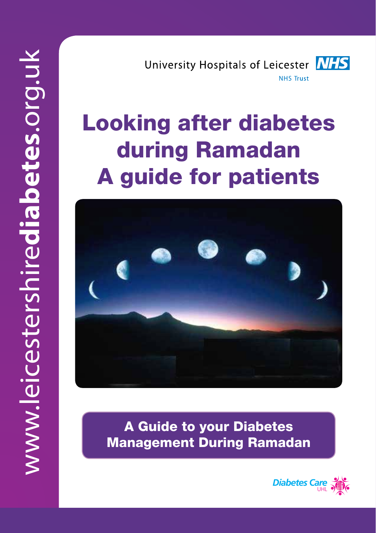University Hospitals of Leicester **NHS NHS Trust** 

# Looking after diabetes during Ramadan A guide for patients



A Guide to your Diabetes Management During Ramadan

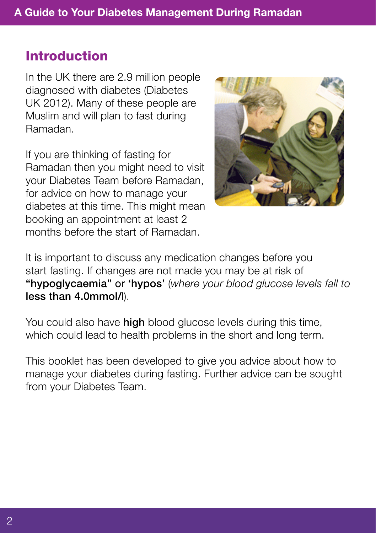#### Introduction

In the UK there are 2.9 million people diagnosed with diabetes (Diabetes UK 2012). Many of these people are Muslim and will plan to fast during Ramadan.

If you are thinking of fasting for Ramadan then you might need to visit your Diabetes Team before Ramadan, for advice on how to manage your diabetes at this time. This might mean booking an appointment at least 2 months before the start of Ramadan.



It is important to discuss any medication changes before you start fasting. If changes are not made you may be at risk of "hypoglycaemia" or 'hypos' (*where your blood glucose levels fall to*  less than 4.0mmol/l).

You could also have **high** blood glucose levels during this time, which could lead to health problems in the short and long term.

This booklet has been developed to give you advice about how to manage your diabetes during fasting. Further advice can be sought from your Diabetes Team.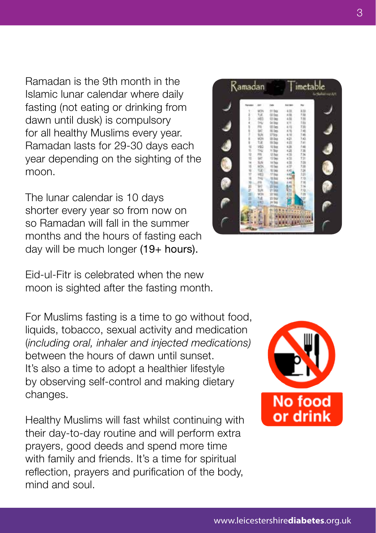Ramadan is the 9th month in the Islamic lunar calendar where daily fasting (not eating or drinking from dawn until dusk) is compulsory for all healthy Muslims every year. Ramadan lasts for 29-30 days each year depending on the sighting of the moon.

The lunar calendar is 10 days shorter every year so from now on so Ramadan will fall in the summer months and the hours of fasting each day will be much longer (19+ hours).

Eid-ul-Fitr is celebrated when the new moon is sighted after the fasting month.

For Muslims fasting is a time to go without food, liquids, tobacco, sexual activity and medication (*including oral, inhaler and injected medications)* between the hours of dawn until sunset. It's also a time to adopt a healthier lifestyle by observing self-control and making dietary changes.

Healthy Muslims will fast whilst continuing with their day-to-day routine and will perform extra prayers, good deeds and spend more time with family and friends. It's a time for spiritual reflection, prayers and purification of the body, mind and soul.



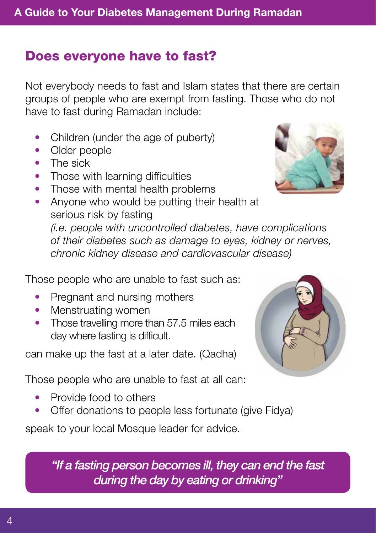#### Does everyone have to fast?

Not everybody needs to fast and Islam states that there are certain groups of people who are exempt from fasting. Those who do not have to fast during Ramadan include:

- Children (under the age of puberty)
- Older people
- The sick
- Those with learning difficulties
- Those with mental health problems
- Anyone who would be putting their health at serious risk by fasting

*(i.e. people with uncontrolled diabetes, have complications of their diabetes such as damage to eyes, kidney or nerves, chronic kidney disease and cardiovascular disease)*

Those people who are unable to fast such as:

- Pregnant and nursing mothers
- Menstruating women
- Those travelling more than 57.5 miles each day where fasting is difficult.

can make up the fast at a later date. (Qadha)

Those people who are unable to fast at all can:

- Provide food to others
- Offer donations to people less fortunate (give Fidya)

speak to your local Mosque leader for advice.

*"If a fasting person becomes ill, they can end the fast during the day by eating or drinking"*

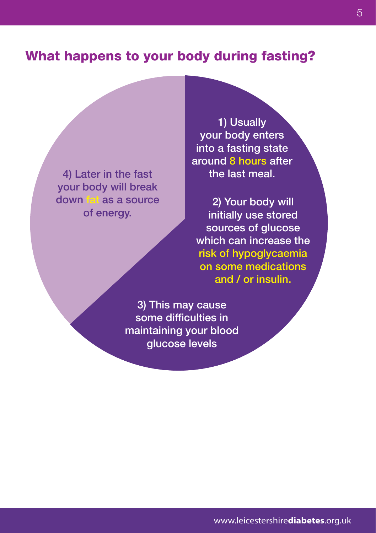#### What happens to your body during fasting?

4) Later in the fast your body will break down fat as a source of energy.

1) Usually your body enters into a fasting state around 8 hours after the last meal.

2) Your body will initially use stored sources of glucose which can increase the risk of hypoglycaemia on some medications and / or insulin.

3) This may cause some difficulties in maintaining your blood glucose levels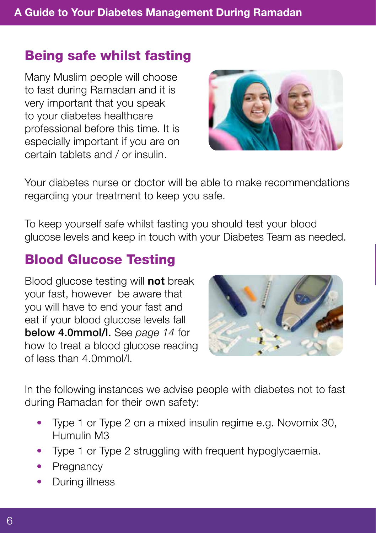### Being safe whilst fasting

Many Muslim people will choose to fast during Ramadan and it is very important that you speak to your diabetes healthcare professional before this time. It is especially important if you are on certain tablets and / or insulin.



Your diabetes nurse or doctor will be able to make recommendations regarding your treatment to keep you safe.

To keep yourself safe whilst fasting you should test your blood glucose levels and keep in touch with your Diabetes Team as needed.

### Blood Glucose Testing

Blood glucose testing will **not** break your fast, however be aware that you will have to end your fast and eat if your blood glucose levels fall below 4.0mmol/l. See *page 14* for how to treat a blood glucose reading of less than 4.0mmol/l.



In the following instances we advise people with diabetes not to fast during Ramadan for their own safety:

- Type 1 or Type 2 on a mixed insulin regime e.g. Novomix 30, Humulin M3
- Type 1 or Type 2 struggling with frequent hypoglycaemia.
- Pregnancy
- **During illness**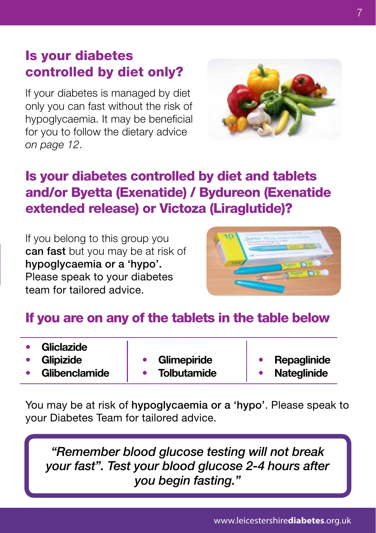### Is your diabetes controlled by diet only?

If your diabetes is managed by diet only you can fast without the risk of hypoglycaemia. It may be beneficial for you to follow the dietary advice *on page 12*.



### Is your diabetes controlled by diet and tablets and/or Byetta (Exenatide) / Bydureon (Exenatide extended release) or Victoza (Liraglutide)?

If you belong to this group you can fast but you may be at risk of hypoglycaemia or a 'hypo'. Please speak to your diabetes team for tailored advice.



#### If you are on any of the tablets in the table below

| <b>Gliclazide</b> |                    |                    |
|-------------------|--------------------|--------------------|
| <b>Glipizide</b>  | Glimepiride        | Repaglinide        |
| Glibenclamide     | <b>Tolbutamide</b> | <b>Nateglinide</b> |

You may be at risk of hypoglycaemia or a 'hypo'. Please speak to your Diabetes Team for tailored advice.

*"Remember blood glucose testing will not break your fast". Test your blood glucose 2-4 hours after you begin fasting."*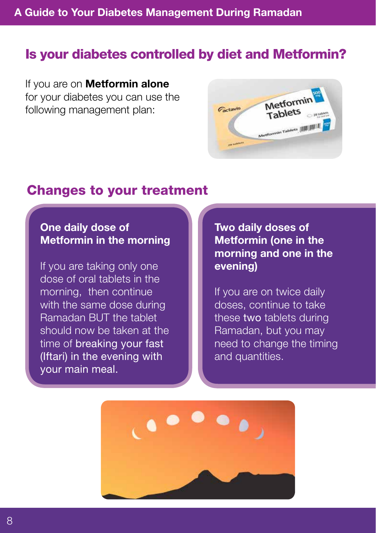#### Is your diabetes controlled by diet and Metformin?

If you are on **Metformin alone** for your diabetes you can use the following management plan:



#### Changes to your treatment

#### One daily dose of Metformin in the morning

If you are taking only one dose of oral tablets in the morning, then continue with the same dose during Ramadan BUT the tablet should now be taken at the time of breaking your fast (Iftari) in the evening with your main meal.

Two daily doses of Metformin (one in the morning and one in the evening)

If you are on twice daily doses, continue to take these two tablets during Ramadan, but you may need to change the timing and quantities.

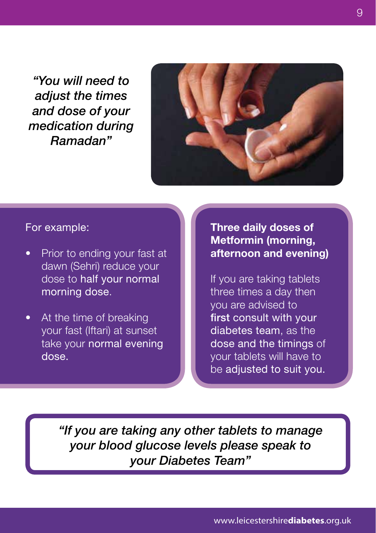*"You will need to adjust the times and dose of your medication during Ramadan"*



#### For example:

- Prior to ending your fast at dawn (Sehri) reduce your dose to half your normal morning dose.
- At the time of breaking your fast (Iftari) at sunset take your normal evening dose.

#### Three daily doses of Metformin (morning, afternoon and evening)

If you are taking tablets three times a day then you are advised to first consult with your diabetes team, as the dose and the timings of your tablets will have to be adjusted to suit you.

*"If you are taking any other tablets to manage your blood glucose levels please speak to your Diabetes Team"*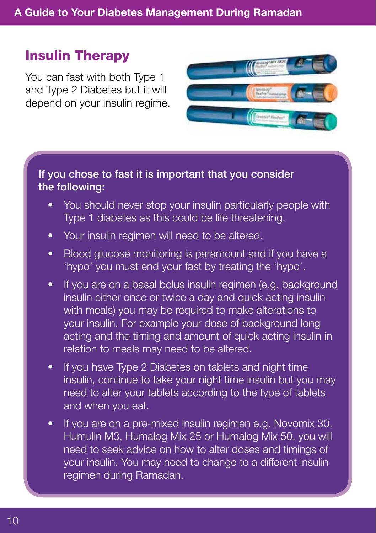#### Insulin Therapy

You can fast with both Type 1 and Type 2 Diabetes but it will depend on your insulin regime.



#### If you chose to fast it is important that you consider the following:

- You should never stop your insulin particularly people with Type 1 diabetes as this could be life threatening.
- Your insulin regimen will need to be altered.
- Blood glucose monitoring is paramount and if you have a 'hypo' you must end your fast by treating the 'hypo'.
- If you are on a basal bolus insulin regimen (e.g. background insulin either once or twice a day and quick acting insulin with meals) you may be required to make alterations to your insulin. For example your dose of background long acting and the timing and amount of quick acting insulin in relation to meals may need to be altered.
- If you have Type 2 Diabetes on tablets and night time insulin, continue to take your night time insulin but you may need to alter your tablets according to the type of tablets and when you eat.
- If you are on a pre-mixed insulin regimen e.g. Novomix 30, Humulin M3, Humalog Mix 25 or Humalog Mix 50, you will need to seek advice on how to alter doses and timings of your insulin. You may need to change to a different insulin regimen during Ramadan.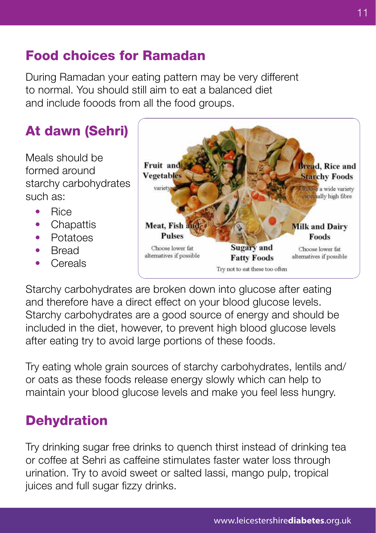### Food choices for Ramadan

During Ramadan your eating pattern may be very different to normal. You should still aim to eat a balanced diet and include fooods from all the food groups.

### At dawn (Sehri)

Meals should be formed around starchy carbohydrates such as:

- • Rice
- Chapattis
- Potatoes
- **Bread**
- • Cereals



Starchy carbohydrates are broken down into glucose after eating and therefore have a direct effect on your blood glucose levels. Starchy carbohydrates are a good source of energy and should be included in the diet, however, to prevent high blood glucose levels after eating try to avoid large portions of these foods.

Try eating whole grain sources of starchy carbohydrates, lentils and/ or oats as these foods release energy slowly which can help to maintain your blood glucose levels and make you feel less hungry.

### **Dehydration**

Try drinking sugar free drinks to quench thirst instead of drinking tea or coffee at Sehri as caffeine stimulates faster water loss through urination. Try to avoid sweet or salted lassi, mango pulp, tropical juices and full sugar fizzy drinks.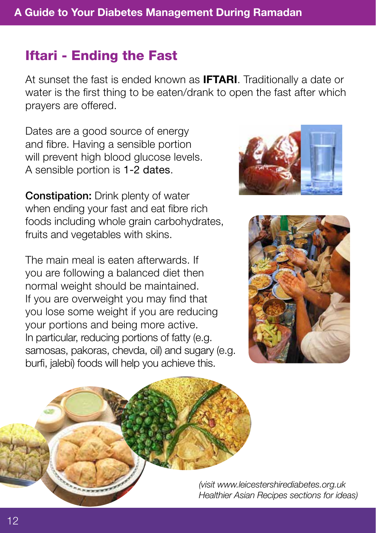#### Iftari - Ending the Fast

At sunset the fast is ended known as **IFTARI**. Traditionally a date or water is the first thing to be eaten/drank to open the fast after which prayers are offered.

Dates are a good source of energy and fibre. Having a sensible portion will prevent high blood glucose levels. A sensible portion is 1-2 dates.

**Constipation:** Drink plenty of water when ending your fast and eat fibre rich foods including whole grain carbohydrates, fruits and vegetables with skins.

The main meal is eaten afterwards. If you are following a balanced diet then normal weight should be maintained. If you are overweight you may find that you lose some weight if you are reducing your portions and being more active. In particular, reducing portions of fatty (e.g. samosas, pakoras, chevda, oil) and sugary (e.g. burfi, jalebi) foods will help you achieve this.





*(visit www.leicestershirediabetes.org.uk Healthier Asian Recipes sections for ideas)*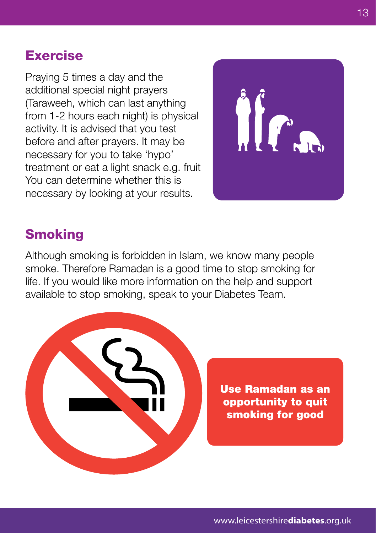#### Exercise

Praying 5 times a day and the additional special night prayers (Taraweeh, which can last anything from 1-2 hours each night) is physical activity. It is advised that you test before and after prayers. It may be necessary for you to take 'hypo' treatment or eat a light snack e.g. fruit You can determine whether this is necessary by looking at your results.



### **Smoking**

Although smoking is forbidden in Islam, we know many people smoke. Therefore Ramadan is a good time to stop smoking for life. If you would like more information on the help and support available to stop smoking, speak to your Diabetes Team.

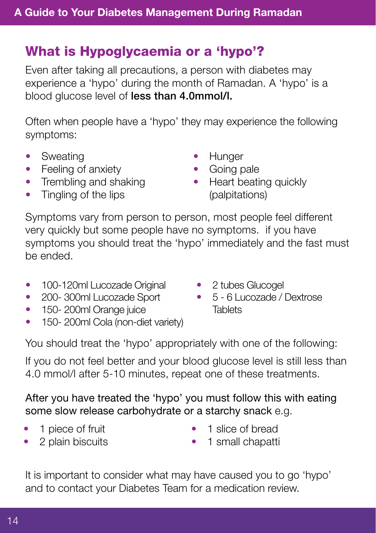### What is Hypoglycaemia or a 'hypo'?

Even after taking all precautions, a person with diabetes may experience a 'hypo' during the month of Ramadan. A 'hypo' is a blood glucose level of less than 4.0mmol/l.

Often when people have a 'hypo' they may experience the following symptoms:

- Sweating
- Feeling of anxiety
- Trembling and shaking
- **Hunger**
- Going pale
- Heart beating quickly (palpitations)

• Tingling of the lips

Symptoms vary from person to person, most people feel different very quickly but some people have no symptoms. if you have symptoms you should treat the 'hypo' immediately and the fast must be ended.

- 100-120ml Lucozade Original
- 200-300ml Lucozade Sport
- 150-200ml Orange juice
- 150-200ml Cola (non-diet variety)

You should treat the 'hypo' appropriately with one of the following:

If you do not feel better and your blood glucose level is still less than 4.0 mmol/l after 5-10 minutes, repeat one of these treatments.

After you have treated the 'hypo' you must follow this with eating some slow release carbohydrate or a starchy snack e.g.

- 1 piece of fruit
- 2 plain biscuits
- 1 slice of bread
- 1 small chapatti

It is important to consider what may have caused you to go 'hypo' and to contact your Diabetes Team for a medication review.

14

- 2 tubes Glucogel
- • 5 6 Lucozade / Dextrose **Tablets**
-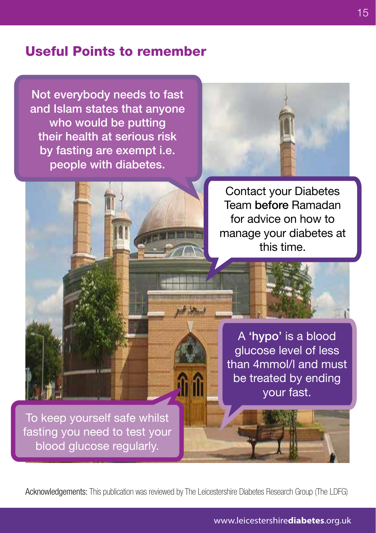#### Useful Points to remember

Not everybody needs to fast and Islam states that anyone who would be putting their health at serious risk by fasting are exempt i.e. people with diabetes.



Contact your Diabetes Team before Ramadan for advice on how to manage your diabetes at this time.

To keep yourself safe whilst blood glucose regularly.

A 'hypo' is a blood glucose level of less than 4mmol/l and must be treated by ending your fast.

fasting you need to test your

Acknowledgements: This publication was reviewed by The Leicestershire Diabetes Research Group (The LDFG)